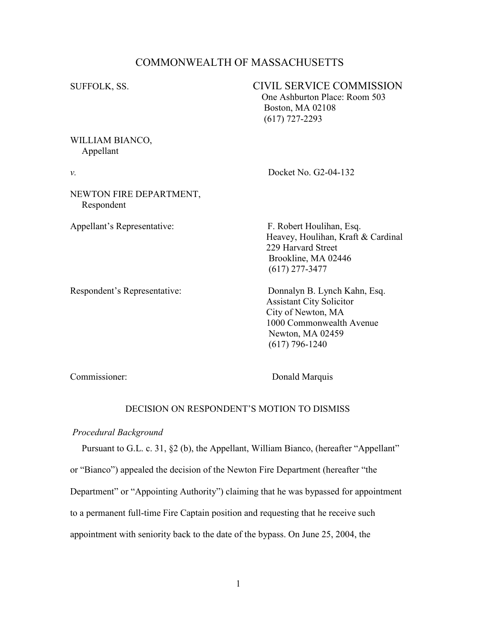# COMMONWEALTH OF MASSACHUSETTS

SUFFOLK, SS. CIVIL SERVICE COMMISSION One Ashburton Place: Room 503

 Boston, MA 02108 (617) 727-2293

# WILLIAM BIANCO, Appellant

# v. Docket No. G2-04-132

NEWTON FIRE DEPARTMENT, Respondent

Appellant's Representative: F. Robert Houlihan, Esq.

 Heavey, Houlihan, Kraft & Cardinal 229 Harvard Street Brookline, MA 02446 (617) 277-3477

Respondent's Representative: Donnalyn B. Lynch Kahn, Esq. Assistant City Solicitor City of Newton, MA 1000 Commonwealth Avenue Newton, MA 02459 (617) 796-1240

Commissioner: Donald Marquis

# DECISION ON RESPONDENT'S MOTION TO DISMISS

### Procedural Background

Pursuant to G.L. c. 31, §2 (b), the Appellant, William Bianco, (hereafter "Appellant"

or "Bianco") appealed the decision of the Newton Fire Department (hereafter "the

Department" or "Appointing Authority") claiming that he was bypassed for appointment

to a permanent full-time Fire Captain position and requesting that he receive such

appointment with seniority back to the date of the bypass. On June 25, 2004, the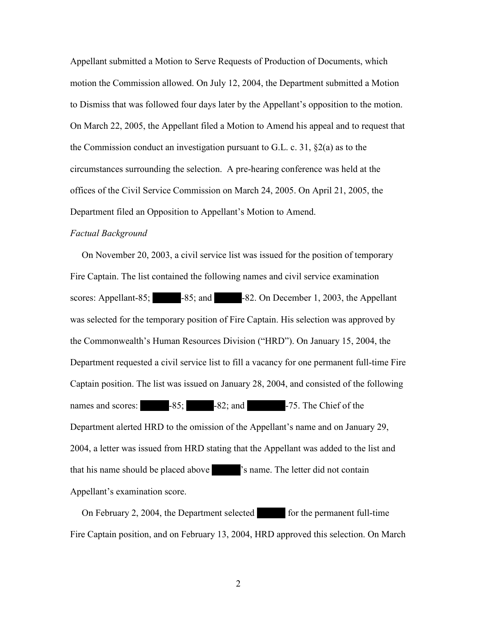Appellant submitted a Motion to Serve Requests of Production of Documents, which motion the Commission allowed. On July 12, 2004, the Department submitted a Motion to Dismiss that was followed four days later by the Appellant's opposition to the motion. On March 22, 2005, the Appellant filed a Motion to Amend his appeal and to request that the Commission conduct an investigation pursuant to G.L. c. 31,  $\S2(a)$  as to the circumstances surrounding the selection. A pre-hearing conference was held at the offices of the Civil Service Commission on March 24, 2005. On April 21, 2005, the Department filed an Opposition to Appellant's Motion to Amend.

### Factual Background

 On November 20, 2003, a civil service list was issued for the position of temporary Fire Captain. The list contained the following names and civil service examination - scores: Appellant-85;  $-85$ ; and  $-82$ . On December 1, 2003, the Appellant was selected for the temporary position of Fire Captain. His selection was approved by the Commonwealth's Human Resources Division ("HRD"). On January 15, 2004, the Department requested a civil service list to fill a vacancy for one permanent full-time Fire Captain position. The list was issued on January 28, 2004, and consisted of the following names and scores:  $-85$ ;  $-82$ ; and  $-75$ . The Chief of the Department alerted HRD to the omission of the Appellant's name and on January 29, 2004, a letter was issued from HRD stating that the Appellant was added to the list and that his name should be placed above  $\blacksquare$  's name. The letter did not contain Appellant's examination score. that his name should be placed above  $\blacksquare$  's name. The letter did not contain Appellant's examination score. h's Human Resources Division ("<br>sted a civil service list to fill a vac<br>The list was issued on January 28,<br>-85; -82; and<br>HRD to the omission of the App

On February 2, 2004, the Department selected for the permanent full-time Fire Captain position, and on February 13, 2004, HRD approved this selection. On March -<br>HRD<br>-

2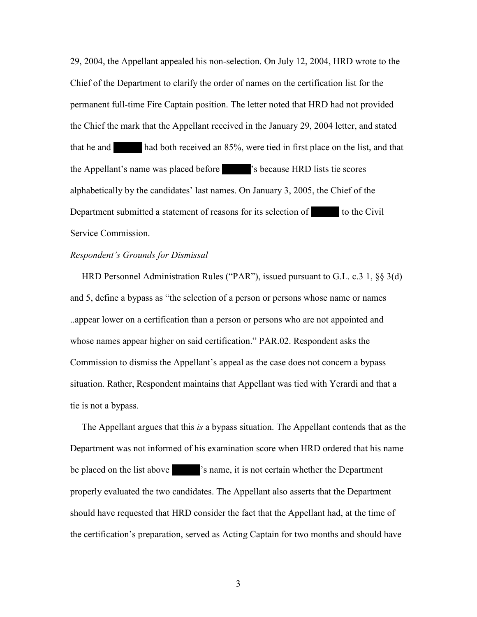29, 2004, the Appellant appealed his non-selection. On July 12, 2004, HRD wrote to the Chief of the Department to clarify the order of names on the certification list for the permanent full-time Fire Captain position. The letter noted that HRD had not provided the Chief the mark that the Appellant received in the January 29, 2004 letter, and stated that he and had both received an 85%, were tied in first place on the list, and that the Chief the mark that the Appellant received in the January 29, 2004 letter, and<br>that he and  $\blacksquare$  had both received an 85%, were tied in first place on the list<br>the Appellant's name was placed before  $\blacksquare$  's because alphabetically by the candidates' last names. On January 3, 2005, the Chief of the Department submitted a statement of reasons for its selection of the Civen Service Commission. Department submitted a statement of reasons for its selection of to the Civil Service Commission.  $85%$ <br>mes.

### Respondent's Grounds for Dismissal

 HRD Personnel Administration Rules ("PAR"), issued pursuant to G.L. c.3 1, §§ 3(d) and 5, define a bypass as "the selection of a person or persons whose name or names ..appear lower on a certification than a person or persons who are not appointed and whose names appear higher on said certification." PAR.02. Respondent asks the Commission to dismiss the Appellant's appeal as the case does not concern a bypass situation. Rather, Respondent maintains that Appellant was tied with Yerardi and that a tie is not a bypass.

 The Appellant argues that this is a bypass situation. The Appellant contends that as the Department was not informed of his examination score when HRD ordered that his name<br>be placed on the list above  $\blacksquare$  's name, it is not certain whether the Department<br>properly evaluated the two candidates. The Appellant be placed on the list above  $\cdot$  's name, it is not certain whether the Department properly evaluated the two candidates. The Appellant also asserts that the Department should have requested that HRD consider the fact that the Appellant had, at the time of the certification's preparation, served as Acting Captain for two months and should have

3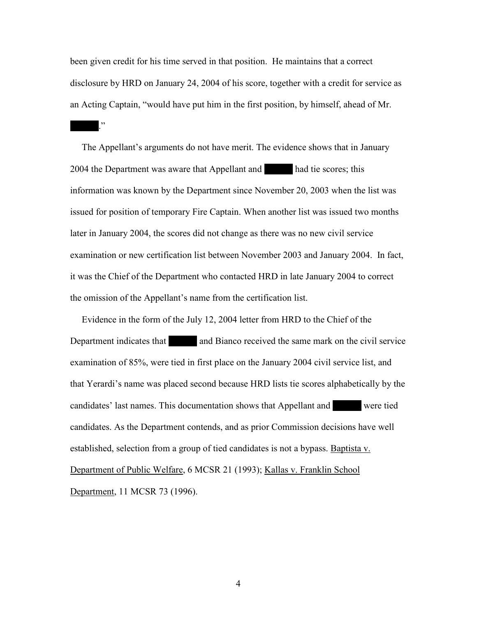been given credit for his time served in that position. He maintains that a correct disclosure by HRD on January 24, 2004 of his score, together with a credit for service as

 $\mathbf{P}$ 

an Acting Captain, "would have put him in the first position, by himself, ahead of Mr.<br>
-<br>
-<br>
The Appellant's arguments do not have merit. The evidence shows that in January The Appellant's arguments do not have merit. The evidence shows that in January 2004 the Department was aware that Appellant and had tie scores; this information was known by the Department since November 20, 2003 when the 2004 the Department was aware that Appellant and had tie scores; this information was known by the Department since November 20, 2003 when the list was issued for position of temporary Fire Captain. When another list was issued two months later in January 2004, the scores did not change as there was no new civil service examination or new certification list between November 2003 and January 2004. In fact, it was the Chief of the Department who contacted HRD in late January 2004 to correct the omission of the Appellant's name from the certification list.

Evidence in the form of the July 12, 2004 letter from HRD to the Chief of the Department indicates that and Bianco received the same mark on the civile examination of 85%, were tied in first place on the January 2004 civil Department indicates that and Bianco received the same mark on the civil service examination of 85%, were tied in first place on the January 2004 civil service list, and that Yerardi's name was placed second because HRD lists tie scores alphabetically by the candidates' last names. This documentation shows that Appellant and were tied candidates. As the Department contends, and as prior Co candidates' last names. This documentation shows that Appellant and Were tied candidates. As the Department contends, and as prior Commission decisions have well established, selection from a group of tied candidates is not a bypass. Baptista v. Department of Public Welfare, 6 MCSR 21 (1993); Kallas v. Franklin School Department, 11 MCSR 73 (1996).

4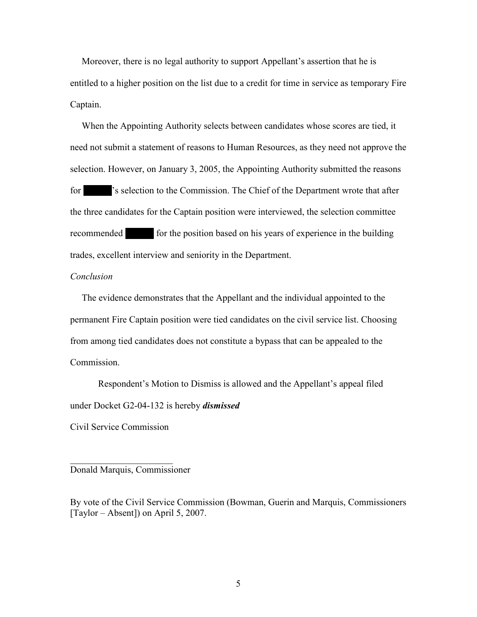Moreover, there is no legal authority to support Appellant's assertion that he is entitled to a higher position on the list due to a credit for time in service as temporary Fire Captain.

 When the Appointing Authority selects between candidates whose scores are tied, it need not submit a statement of reasons to Human Resources, as they need not approve the selection. However, on January 3, 2005, the Appointing Authority submitted the reasons for selection to the Commission. The Chief of the Department wrote that after the three candidates for the Captain position were interv for The Commission. The Chief of the Department wrote that after  $\frac{1}{2}$ the three candidates for the Captain position were interviewed, the selection committee<br>
recommended<br>
for the position based on his years of experience in the building<br>
trades, excellent interview and seniority in the Depa recommended for the position based on his years of experience in the building trades, excellent interview and seniority in the Department.

#### Conclusion

 The evidence demonstrates that the Appellant and the individual appointed to the permanent Fire Captain position were tied candidates on the civil service list. Choosing from among tied candidates does not constitute a bypass that can be appealed to the Commission.

Respondent's Motion to Dismiss is allowed and the Appellant's appeal filed under Docket G2-04-132 is hereby *dismissed* 

Civil Service Commission

## Donald Marquis, Commissioner

 $\overline{\phantom{a}}$  , which is a set of the set of the set of the set of the set of the set of the set of the set of the set of the set of the set of the set of the set of the set of the set of the set of the set of the set of th

By vote of the Civil Service Commission (Bowman, Guerin and Marquis, Commissioners [Taylor – Absent]) on April 5, 2007.